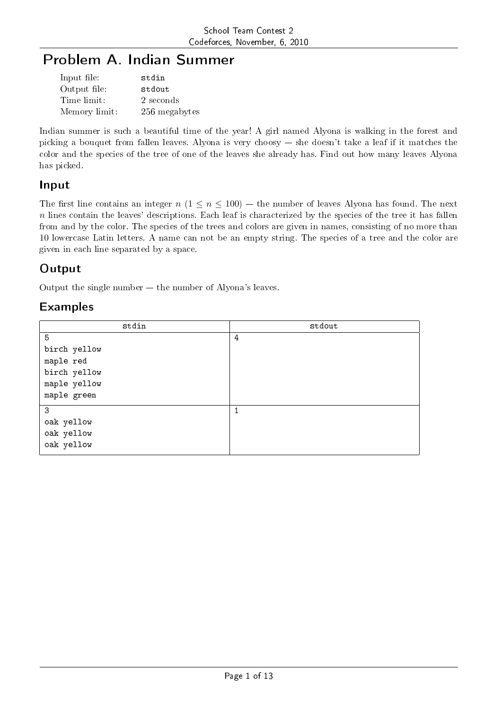# Problem A. Indian Summer

| Input file:   | stdin         |
|---------------|---------------|
| Output file:  | stdout        |
| Time limit:   | 2 seconds     |
| Memory limit: | 256 megabytes |

Indian summer is such a beautiful time of the year! A girl named Alyona is walking in the forest and picking a bouquet from fallen leaves. Alyona is very choosy  $-$  she doesn't take a leaf if it matches the color and the species of the tree of one of the leaves she already has. Find out how many leaves Alyona has picked.

## Input

The first line contains an integer  $n (1 \le n \le 100)$  – the number of leaves Alyona has found. The next *n* lines contain the leaves' descriptions. Each leaf is characterized by the species of the tree it has fallen from and by the color. The species of the trees and colors are given in names, consisting of no more than 10 lowercase Latin letters. A name can not be an empty string. The species of a tree and the color are given in each line separated by a space.

## **Output**

Output the single number  $-$  the number of Alyona's leaves.

| stdin        | stdout |
|--------------|--------|
| 5            | 4      |
| birch yellow |        |
| maple red    |        |
| birch yellow |        |
| maple yellow |        |
| maple green  |        |
| 3            |        |
| oak yellow   |        |
| oak yellow   |        |
| oak yellow   |        |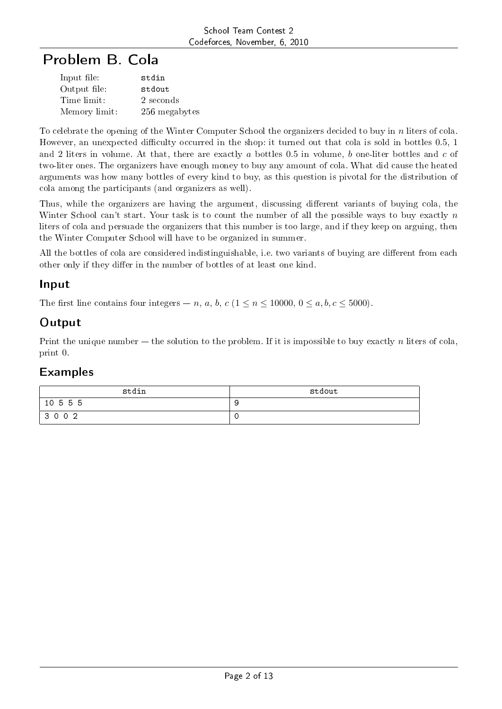# Problem B. Cola

| Input file:   | stdin         |
|---------------|---------------|
| Output file:  | stdout        |
| Time limit:   | 2 seconds     |
| Memory limit: | 256 megabytes |

To celebrate the opening of the Winter Computer School the organizers decided to buy in *n* liters of cola. However, an unexpected difficulty occurred in the shop: it turned out that cola is sold in bottles 0.5, 1 and 2 liters in volume. At that, there are exactly *a* bottles 0*.*5 in volume, *b* one-liter bottles and *c* of two-liter ones. The organizers have enough money to buy any amount of cola. What did cause the heated arguments was how many bottles of every kind to buy, as this question is pivotal for the distribution of cola among the participants (and organizers as well).

Thus, while the organizers are having the argument, discussing different variants of buying cola, the Winter School can't start. Your task is to count the number of all the possible ways to buy exactly *n* liters of cola and persuade the organizers that this number is too large, and if they keep on arguing, then the Winter Computer School will have to be organized in summer.

All the bottles of cola are considered indistinguishable, i.e. two variants of buying are different from each other only if they differ in the number of bottles of at least one kind.

### Input

The first line contains four integers  $-n$ , *a*, *b*, *c* ( $1 \le n \le 10000$ ,  $0 \le a, b, c \le 5000$ ).

## **Output**

Print the unique number  $-$  the solution to the problem. If it is impossible to buy exactly *n* liters of cola. print 0.

| stdin    | stdout |
|----------|--------|
| 10 5 5 5 |        |
| 3 0 0 2  |        |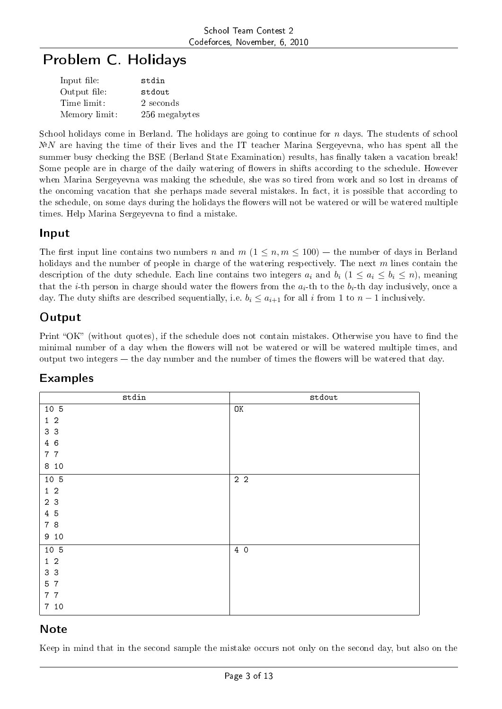# Problem C. Holidays

| Input file:   | stdin         |
|---------------|---------------|
| Output file:  | stdout        |
| Time limit:   | 2 seconds     |
| Memory limit: | 256 megabytes |

School holidays come in Berland. The holidays are going to continue for *n* days. The students of school  $N^{\circ}N$  are having the time of their lives and the IT teacher Marina Sergeyevna, who has spent all the summer busy checking the BSE (Berland State Examination) results, has finally taken a vacation break! Some people are in charge of the daily watering of flowers in shifts according to the schedule. However when Marina Sergeyevna was making the schedule, she was so tired from work and so lost in dreams of the oncoming vacation that she perhaps made several mistakes. In fact, it is possible that according to the schedule, on some days during the holidays the flowers will not be watered or will be watered multiple times. Help Marina Sergeyevna to find a mistake.

#### Input

The first input line contains two numbers *n* and  $m$  ( $1 \leq n, m \leq 100$ ) – the number of days in Berland holidays and the number of people in charge of the watering respectively. The next *m* lines contain the description of the duty schedule. Each line contains two integers  $a_i$  and  $b_i$  ( $1 \leq a_i \leq b_i \leq n$ ), meaning that the *i*-th person in charge should water the flowers from the  $a_i$ -th to the  $b_i$ -th day inclusively, once a day. The duty shifts are described sequentially, i.e.  $b_i \leq a_{i+1}$  for all *i* from 1 to  $n-1$  inclusively.

## **Output**

Print "OK" (without quotes), if the schedule does not contain mistakes. Otherwise you have to find the minimal number of a day when the flowers will not be watered or will be watered multiple times, and output two integers  $-$  the day number and the number of times the flowers will be watered that day.

| $_{\rm{stdin}}$ | stdout |
|-----------------|--------|
| 10 5            | OK     |
| $1\quad2$       |        |
| 3 3             |        |
| 4 6             |        |
| 7 7             |        |
| 8 10            |        |
| 10 5            | $2\,2$ |
| $1\quad2$       |        |
| 2 3             |        |
| $4\quad5$       |        |
| 7 8             |        |
| 910             |        |
| $10\,$ 5        | 4 0    |
| $1\quad 2$      |        |
| 3 3             |        |
| 5 7             |        |
| 7 7             |        |
| 7 10            |        |

## Examples

## Note

Keep in mind that in the second sample the mistake occurs not only on the second day, but also on the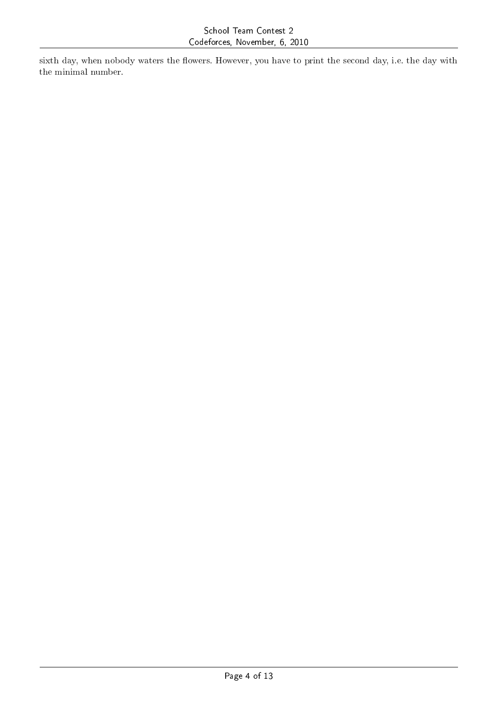sixth day, when nobody waters the flowers. However, you have to print the second day, i.e. the day with the minimal number.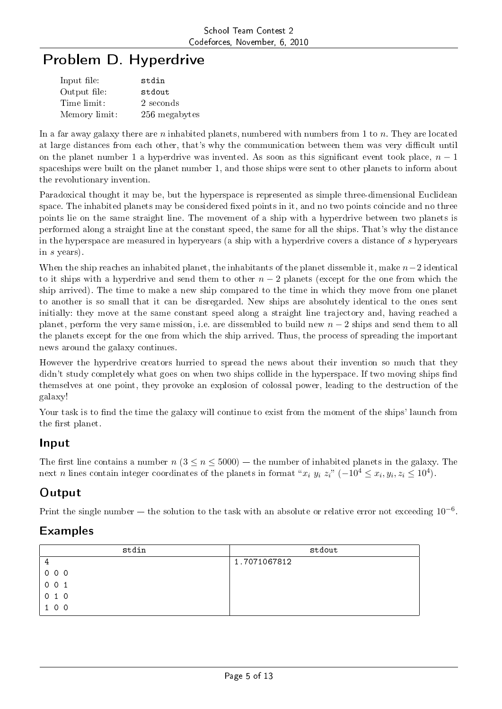# Problem D. Hyperdrive

| Input file:   | stdin         |
|---------------|---------------|
| Output file:  | stdout        |
| Time limit:   | 2 seconds     |
| Memory limit: | 256 megabytes |

In a far away galaxy there are *n* inhabited planets, numbered with numbers from 1 to *n*. They are located at large distances from each other, that's why the communication between them was very difficult until on the planet number 1 a hyperdrive was invented. As soon as this significant event took place,  $n-1$ spaceships were built on the planet number 1, and those ships were sent to other planets to inform about the revolutionary invention.

Paradoxical thought it may be, but the hyperspace is represented as simple three-dimensional Euclidean space. The inhabited planets may be considered fixed points in it, and no two points coincide and no three points lie on the same straight line. The movement of a ship with a hyperdrive between two planets is performed along a straight line at the constant speed, the same for all the ships. That's why the distance in the hyperspace are measured in hyperyears (a ship with a hyperdrive covers a distance of *s* hyperyears in *s* years).

When the ship reaches an inhabited planet, the inhabitants of the planet dissemble it, make *n−*2 identical to it ships with a hyperdrive and send them to other *n −* 2 planets (except for the one from which the ship arrived). The time to make a new ship compared to the time in which they move from one planet to another is so small that it can be disregarded. New ships are absolutely identical to the ones sent initially: they move at the same constant speed along a straight line trajectory and, having reached a planet, perform the very same mission, i.e. are dissembled to build new *n −* 2 ships and send them to all the planets except for the one from which the ship arrived. Thus, the process of spreading the important news around the galaxy continues.

However the hyperdrive creators hurried to spread the news about their invention so much that they didn't study completely what goes on when two ships collide in the hyperspace. If two moving ships find themselves at one point, they provoke an explosion of colossal power, leading to the destruction of the galaxy!

Your task is to find the time the galaxy will continue to exist from the moment of the ships' launch from the first planet.

## Input

The first line contains a number  $n (3 \le n \le 5000)$  – the number of inhabited planets in the galaxy. The next *n* lines contain integer coordinates of the planets in format " $x_i$   $y_i$   $z_i$ "  $(-10^4 \le x_i, y_i, z_i \le 10^4)$ .

## **Output**

Print the single number the solution to the task with an absolute or relative error not exceeding 10*−*<sup>6</sup> .

| stdin             | stdout       |
|-------------------|--------------|
|                   | 1.7071067812 |
| $0\quad 0\quad 0$ |              |
| 001               |              |
| 010               |              |
| 100               |              |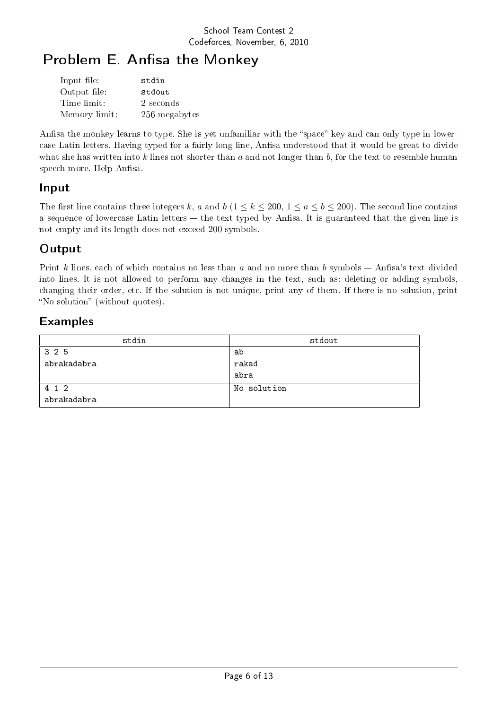# Problem E. Anfisa the Monkey

| Input file:   | stdin         |
|---------------|---------------|
| Output file:  | stdout        |
| Time limit:   | 2 seconds     |
| Memory limit: | 256 megabytes |

Anfisa the monkey learns to type. She is yet unfamiliar with the "space" key and can only type in lowercase Latin letters. Having typed for a fairly long line, Anfisa understood that it would be great to divide what she has written into *k* lines not shorter than *a* and not longer than *b*, for the text to resemble human speech more. Help Anfisa.

### Input

The first line contains three integers *k*, *a* and *b*  $(1 \leq k \leq 200, 1 \leq a \leq b \leq 200)$ . The second line contains a sequence of lowercase Latin letters  $-$  the text typed by Anfisa. It is guaranteed that the given line is not empty and its length does not exceed 200 symbols.

## **Output**

Print *k* lines, each of which contains no less than *a* and no more than *b* symbols – Anfisa's text divided into lines. It is not allowed to perform any changes in the text, such as: deleting or adding symbols, changing their order, etc. If the solution is not unique, print any of them. If there is no solution, print "No solution" (without quotes).

| stdin       | stdout      |
|-------------|-------------|
| 325         | ab          |
| abrakadabra | rakad       |
|             | abra        |
| 4 1 2       | No solution |
| abrakadabra |             |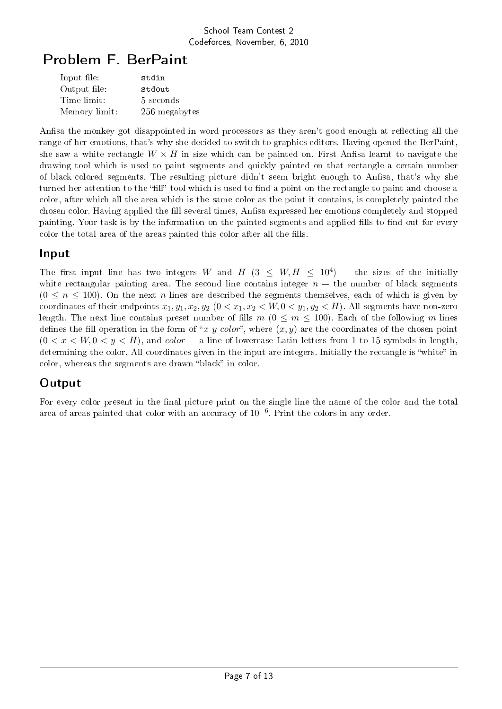# Problem F. BerPaint

| Input file:   | stdin         |
|---------------|---------------|
| Output file:  | stdout        |
| Time limit:   | 5 seconds     |
| Memory limit: | 256 megabytes |

Anfisa the monkey got disappointed in word processors as they aren't good enough at reflecting all the range of her emotions, that's why she decided to switch to graphics editors. Having opened the BerPaint, she saw a white rectangle  $W \times H$  in size which can be painted on. First Ansisa learnt to navigate the drawing tool which is used to paint segments and quickly painted on that rectangle a certain number of black-colored segments. The resulting picture didn't seem bright enough to Anfisa, that's why she turned her attention to the "fill" tool which is used to find a point on the rectangle to paint and choose a color, after which all the area which is the same color as the point it contains, is completely painted the chosen color. Having applied the fill several times, Anfisa expressed her emotions completely and stopped painting. Your task is by the information on the painted segments and applied fills to find out for every color the total area of the areas painted this color after all the fills.

#### Input

The first input line has two integers *W* and *H* (3  $\leq$  *W*, *H*  $\leq$  10<sup>4</sup>) – the sizes of the initially white rectangular painting area. The second line contains integer  $n -$  the number of black segments  $(0 \le n \le 100)$ . On the next *n* lines are described the segments themselves, each of which is given by coordinates of their endpoints  $x_1, y_1, x_2, y_2$  ( $0 < x_1, x_2 < W, 0 < y_1, y_2 < H$ ). All segments have non-zero length. The next line contains preset number of fills  $m (0 \le m \le 100)$ . Each of the following *m* lines defines the fill operation in the form of "*x y color*", where  $(x, y)$  are the coordinates of the chosen point  $(0 < x < W, 0 < y < H)$ , and *color*  $-$  a line of lowercase Latin letters from 1 to 15 symbols in length, determining the color. All coordinates given in the input are integers. Initially the rectangle is "white" in color, whereas the segments are drawn "black" in color.

## **Output**

For every color present in the final picture print on the single line the name of the color and the total area of areas painted that color with an accuracy of 10*−*<sup>6</sup> . Print the colors in any order.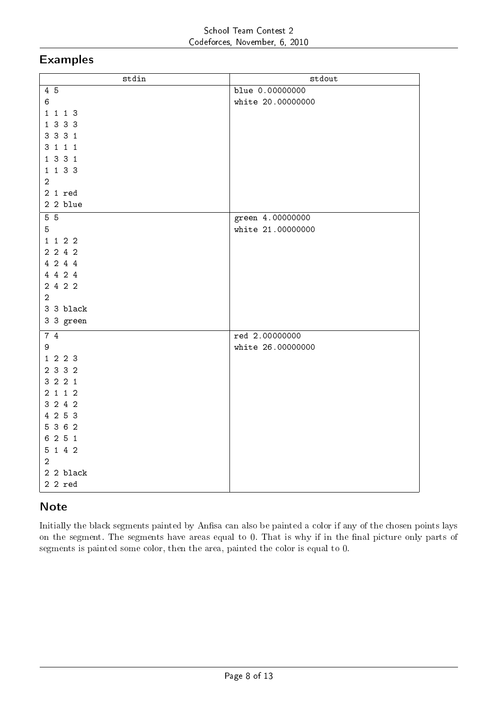### Examples

| stdin          | stdout            |
|----------------|-------------------|
| 4 5            | blue 0.00000000   |
| $\,6$          | white 20.0000000  |
| 1 1 1 3        |                   |
| 1 3 3 3        |                   |
| 3 3 3 1        |                   |
| 3 1 1 1        |                   |
| 1 3 3 1        |                   |
| 1 1 3 3        |                   |
| $\overline{2}$ |                   |
| $2 1$ red      |                   |
| 2 2 blue       |                   |
| 5 <sub>5</sub> | green 4.00000000  |
| 5              | white 21.00000000 |
| 1 1 2 2        |                   |
| $2\ 2\ 4\ 2$   |                   |
| 4 2 4 4        |                   |
| 4 4 2 4        |                   |
| 2 4 2 2        |                   |
| $\overline{a}$ |                   |
| 3 3 black      |                   |
| 3 3 green      |                   |
| 7 4            | red 2.00000000    |
| 9              | white 26.00000000 |
| 1 2 2 3        |                   |
| 2 3 3 2        |                   |
| 3221           |                   |
| 2 1 1 2        |                   |
| 3 2 4 2        |                   |
| 4 2 5 3        |                   |
| 5 3 6 2        |                   |
| 6 2 5 1        |                   |
| 5 1 4 2        |                   |
| $\overline{a}$ |                   |
| 2 2 black      |                   |
| $22$ red       |                   |

## Note

Initially the black segments painted by Anfisa can also be painted a color if any of the chosen points lays on the segment. The segments have areas equal to 0. That is why if in the final picture only parts of segments is painted some color, then the area, painted the color is equal to 0.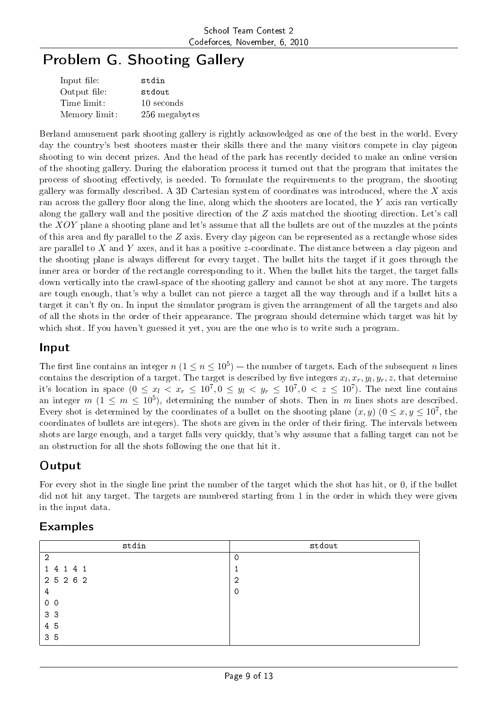# Problem G. Shooting Gallery

| Input file:   | stdin         |
|---------------|---------------|
| Output file:  | stdout        |
| Time limit:   | 10 seconds    |
| Memory limit: | 256 megabytes |

Berland amusement park shooting gallery is rightly acknowledged as one of the best in the world. Every day the country's best shooters master their skills there and the many visitors compete in clay pigeon shooting to win decent prizes. And the head of the park has recently decided to make an online version of the shooting gallery. During the elaboration process it turned out that the program that imitates the process of shooting effectively, is needed. To formulate the requirements to the program, the shooting gallery was formally described. A 3D Cartesian system of coordinates was introduced, where the *X* axis ran across the gallery floor along the line, along which the shooters are located, the *Y* axis ran vertically along the gallery wall and the positive direction of the *Z* axis matched the shooting direction. Let's call the *XOY* plane a shooting plane and let's assume that all the bullets are out of the muzzles at the points of this area and fly parallel to the  $Z$  axis. Every clay pigeon can be represented as a rectangle whose sides are parallel to *X* and *Y* axes, and it has a positive *z*-coordinate. The distance between a clay pigeon and the shooting plane is always different for every target. The bullet hits the target if it goes through the inner area or border of the rectangle corresponding to it. When the bullet hits the target, the target falls down vertically into the crawl-space of the shooting gallery and cannot be shot at any more. The targets are tough enough, that's why a bullet can not pierce a target all the way through and if a bullet hits a target it can't fly on. In input the simulator program is given the arrangement of all the targets and also of all the shots in the order of their appearance. The program should determine which target was hit by which shot. If you haven't guessed it yet, you are the one who is to write such a program.

### Input

The first line contains an integer  $n$   $(1 \le n \le 10^5)$  — the number of targets. Each of the subsequent  $n$  lines contains the description of a target. The target is described by five integers  $x_l, x_r, y_l, y_r, z$ , that determine it's location in space  $(0 \le x_l < x_r \le 10^7, 0 \le y_l < y_r \le 10^7, 0 < z \le 10^7)$ . The next line contains an integer  $m$  ( $1 \leq m \leq 10^5$ ), determining the number of shots. Then in  $m$  lines shots are described. Every shot is determined by the coordinates of a bullet on the shooting plane  $(x, y)$   $(0 \le x, y \le 10^7$ , the coordinates of bullets are integers). The shots are given in the order of their firing. The intervals between shots are large enough, and a target falls very quickly, that's why assume that a falling target can not be an obstruction for all the shots following the one that hit it.

## **Output**

For every shot in the single line print the number of the target which the shot has hit, or 0, if the bullet did not hit any target. The targets are numbered starting from 1 in the order in which they were given in the input data.

| stdin          | stdout         |
|----------------|----------------|
| $\overline{2}$ | 0              |
| 1 4 1 4 1      | ÷              |
| 2 5 2 6 2      | $\overline{2}$ |
| $\overline{4}$ | $\circ$        |
| 0 <sub>0</sub> |                |
| 3 <sub>3</sub> |                |
| 4 5            |                |
| 3 <sub>5</sub> |                |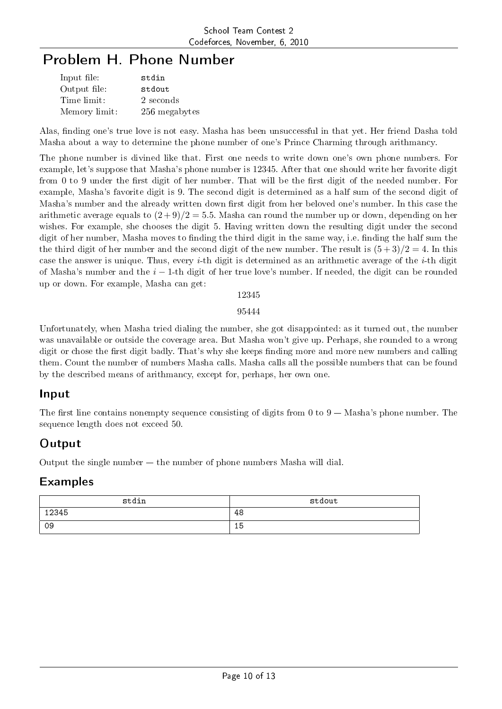# Problem H. Phone Number

| Input file:   | stdin         |
|---------------|---------------|
| Output file:  | stdout        |
| Time limit:   | 2 seconds     |
| Memory limit: | 256 megabytes |

Alas, finding one's true love is not easy. Masha has been unsuccessful in that yet. Her friend Dasha told Masha about a way to determine the phone number of one's Prince Charming through arithmancy.

The phone number is divined like that. First one needs to write down one's own phone numbers. For example, let's suppose that Masha's phone number is 12345. After that one should write her favorite digit from 0 to 9 under the first digit of her number. That will be the first digit of the needed number. For example, Masha's favorite digit is 9. The second digit is determined as a half sum of the second digit of Masha's number and the already written down first digit from her beloved one's number. In this case the arithmetic average equals to  $(2+9)/2 = 5.5$ . Masha can round the number up or down, depending on her wishes. For example, she chooses the digit 5. Having written down the resulting digit under the second digit of her number, Masha moves to finding the third digit in the same way, i.e. finding the half sum the the third digit of her number and the second digit of the new number. The result is  $(5+3)/2=4$ . In this case the answer is unique. Thus, every *i*-th digit is determined as an arithmetic average of the *i*-th digit of Masha's number and the *i −* 1-th digit of her true love's number. If needed, the digit can be rounded up or down. For example, Masha can get:

12345

95444

Unfortunately, when Masha tried dialing the number, she got disappointed: as it turned out, the number was unavailable or outside the coverage area. But Masha won't give up. Perhaps, she rounded to a wrong digit or chose the first digit badly. That's why she keeps finding more and more new numbers and calling them. Count the number of numbers Masha calls. Masha calls all the possible numbers that can be found by the described means of arithmancy, except for, perhaps, her own one.

#### Input

The first line contains nonempty sequence consisting of digits from 0 to  $9 -$  Masha's phone number. The sequence length does not exceed 50.

#### Output

Output the single number  $-$  the number of phone numbers Masha will dial.

| stdin | stdout |
|-------|--------|
| 12345 | 48     |
| 09    | 15     |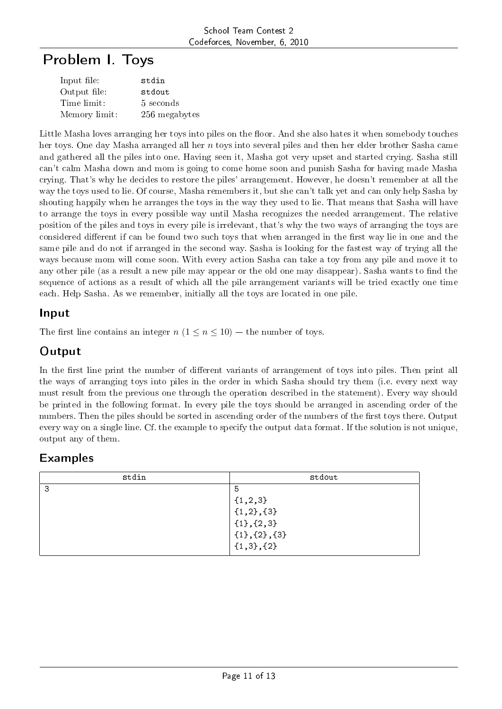# Problem I. Toys

| Input file:   | stdin         |
|---------------|---------------|
| Output file:  | stdout        |
| Time limit:   | 5 seconds     |
| Memory limit: | 256 megabytes |

Little Masha loves arranging her toys into piles on the floor. And she also hates it when somebody touches her toys. One day Masha arranged all her *n* toys into several piles and then her elder brother Sasha came and gathered all the piles into one. Having seen it, Masha got very upset and started crying. Sasha still can't calm Masha down and mom is going to come home soon and punish Sasha for having made Masha crying. That's why he decides to restore the piles' arrangement. However, he doesn't remember at all the way the toys used to lie. Of course, Masha remembers it, but she can't talk yet and can only help Sasha by shouting happily when he arranges the toys in the way they used to lie. That means that Sasha will have to arrange the toys in every possible way until Masha recognizes the needed arrangement. The relative position of the piles and toys in every pile is irrelevant, that's why the two ways of arranging the toys are considered different if can be found two such toys that when arranged in the first way lie in one and the same pile and do not if arranged in the second way. Sasha is looking for the fastest way of trying all the ways because mom will come soon. With every action Sasha can take a toy from any pile and move it to any other pile (as a result a new pile may appear or the old one may disappear). Sasha wants to find the sequence of actions as a result of which all the pile arrangement variants will be tried exactly one time each. Help Sasha. As we remember, initially all the toys are located in one pile.

### Input

The first line contains an integer  $n (1 \le n \le 10)$  – the number of toys.

## Output

In the first line print the number of different variants of arrangement of toys into piles. Then print all the ways of arranging toys into piles in the order in which Sasha should try them (i.e. every next way must result from the previous one through the operation described in the statement). Every way should be printed in the following format. In every pile the toys should be arranged in ascending order of the numbers. Then the piles should be sorted in ascending order of the numbers of the first toys there. Output every way on a single line. Cf. the example to specify the output data format. If the solution is not unique, output any of them.

| stdin | stdout                |
|-------|-----------------------|
| З     | 5                     |
|       | $\{1, 2, 3\}$         |
|       | $\{1,2\},\{3\}$       |
|       | $\{1\}, \{2,3\}$      |
|       | $\{1\}, \{2\}, \{3\}$ |
|       | $\{1,3\},\{2\}$       |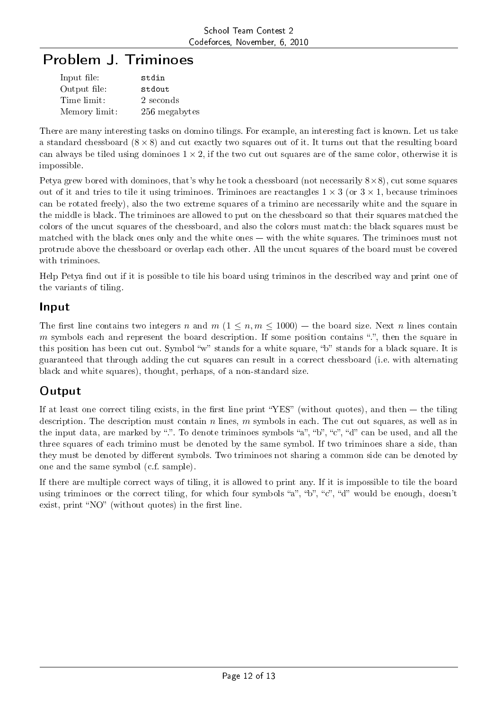# Problem J. Triminoes

| Input file:   | stdin         |
|---------------|---------------|
| Output file:  | stdout        |
| Time limit:   | 2 seconds     |
| Memory limit: | 256 megabytes |

There are many interesting tasks on domino tilings. For example, an interesting fact is known. Let us take a standard chessboard (8 *×* 8) and cut exactly two squares out of it. It turns out that the resulting board can always be tiled using dominoes  $1 \times 2$ , if the two cut out squares are of the same color, otherwise it is impossible.

Petya grew bored with dominoes, that's why he took a chessboard (not necessarily 8*×*8), cut some squares out of it and tries to tile it using triminoes. Triminoes are reactangles  $1 \times 3$  (or  $3 \times 1$ , because triminoes can be rotated freely), also the two extreme squares of a trimino are necessarily white and the square in the middle is black. The triminoes are allowed to put on the chessboard so that their squares matched the colors of the uncut squares of the chessboard, and also the colors must match: the black squares must be matched with the black ones only and the white ones — with the white squares. The triminoes must not protrude above the chessboard or overlap each other. All the uncut squares of the board must be covered with triminoes.

Help Petya find out if it is possible to tile his board using triminos in the described way and print one of the variants of tiling.

### Input

The first line contains two integers *n* and *m* ( $1 \leq n, m \leq 1000$ ) – the board size. Next *n* lines contain *m* symbols each and represent the board description. If some position contains ".", then the square in this position has been cut out. Symbol "w" stands for a white square, "b" stands for a black square. It is guaranteed that through adding the cut squares can result in a correct chessboard (i.e. with alternating black and white squares), thought, perhaps, of a non-standard size.

## **Output**

If at least one correct tiling exists, in the first line print "YES" (without quotes), and then  $-$  the tiling description. The description must contain *n* lines, *m* symbols in each. The cut out squares, as well as in the input data, are marked by ".". To denote triminoes symbols "a", "b", "c", "d" can be used, and all the three squares of each trimino must be denoted by the same symbol. If two triminoes share a side, than they must be denoted by different symbols. Two triminoes not sharing a common side can be denoted by one and the same symbol (c.f. sample).

If there are multiple correct ways of tiling, it is allowed to print any. If it is impossible to tile the board using triminoes or the correct tiling, for which four symbols "a", "b", "c", "d" would be enough, doesn't exist, print "NO" (without quotes) in the first line.